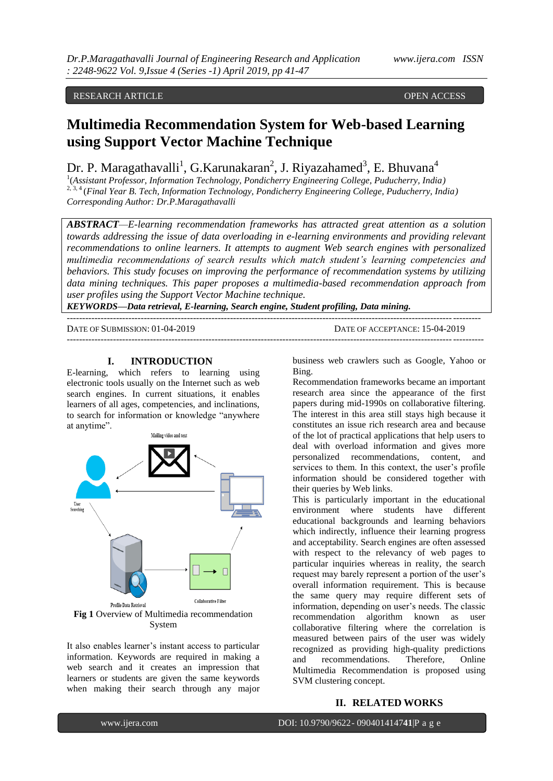RESEARCH ARTICLE **CONSERVERS** OPEN ACCESS OPEN ACCESS

# **Multimedia Recommendation System for Web-based Learning using Support Vector Machine Technique**

Dr. P. Maragathavalli<sup>1</sup>, G.Karunakaran<sup>2</sup>, J. Riyazahamed<sup>3</sup>, E. Bhuvana<sup>4</sup>

1 (*Assistant Professor, Information Technology, Pondicherry Engineering College, Puducherry, India)* 2, 3, 4 (*Final Year B. Tech, Information Technology, Pondicherry Engineering College, Puducherry, India) Corresponding Author: Dr.P.Maragathavalli*

*ABSTRACT—E-learning recommendation frameworks has attracted great attention as a solution towards addressing the issue of data overloading in e-learning environments and providing relevant recommendations to online learners. It attempts to augment Web search engines with personalized multimedia recommendations of search results which match student's learning competencies and behaviors. This study focuses on improving the performance of recommendation systems by utilizing data mining techniques. This paper proposes a multimedia-based recommendation approach from user profiles using the Support Vector Machine technique.*

*KEYWORDS—Data retrieval, E-learning, Search engine, Student profiling, Data mining.*

-------------------------------------------------------------------------------------------------------------------------------------- DATE OF SUBMISSION: 01-04-2019 DATE OF ACCEPTANCE: 15-04-2019 ---------------------------------------------------------------------------------------------------------------------------------------

#### **I. INTRODUCTION**

E-learning, which refers to learning using electronic tools usually on the Internet such as web search engines. In current situations, it enables learners of all ages, competencies, and inclinations, to search for information or knowledge "anywhere at anytime".



It also enables learner"s instant access to particular information. Keywords are required in making a web search and it creates an impression that learners or students are given the same keywords when making their search through any major business web crawlers such as Google, Yahoo or Bing.

Recommendation frameworks became an important research area since the appearance of the first papers during mid-1990s on collaborative filtering. The interest in this area still stays high because it constitutes an issue rich research area and because of the lot of practical applications that help users to deal with overload information and gives more personalized recommendations, content, and services to them. In this context, the user's profile information should be considered together with their queries by Web links.

This is particularly important in the educational environment where students have different educational backgrounds and learning behaviors which indirectly, influence their learning progress and acceptability. Search engines are often assessed with respect to the relevancy of web pages to particular inquiries whereas in reality, the search request may barely represent a portion of the user's overall information requirement. This is because the same query may require different sets of information, depending on user's needs. The classic recommendation algorithm known as user collaborative filtering where the correlation is measured between pairs of the user was widely recognized as providing high-quality predictions and recommendations. Therefore, Online Multimedia Recommendation is proposed using SVM clustering concept.

#### **II. RELATED WORKS**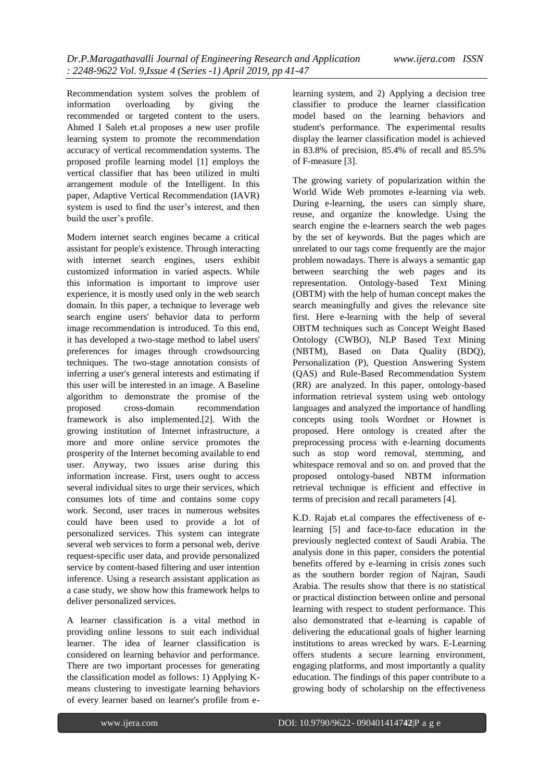Recommendation system solves the problem of information overloading by giving the recommended or targeted content to the users. Ahmed I Saleh et.al proposes a new user profile learning system to promote the recommendation accuracy of vertical recommendation systems. The proposed profile learning model [1] employs the vertical classifier that has been utilized in multi arrangement module of the Intelligent. In this paper, Adaptive Vertical Recommendation (IAVR) system is used to find the user"s interest, and then build the user's profile.

Modern internet search engines became a critical assistant for people's existence. Through interacting with internet search engines, users exhibit customized information in varied aspects. While this information is important to improve user experience, it is mostly used only in the web search domain. In this paper, a technique to leverage web search engine users' behavior data to perform image recommendation is introduced. To this end, it has developed a two-stage method to label users' preferences for images through crowdsourcing techniques. The two-stage annotation consists of inferring a user's general interests and estimating if this user will be interested in an image. A Baseline algorithm to demonstrate the promise of the proposed cross-domain recommendation framework is also implemented.[2]. With the growing institution of Internet infrastructure, a more and more online service promotes the prosperity of the Internet becoming available to end user. Anyway, two issues arise during this information increase. First, users ought to access several individual sites to urge their services, which consumes lots of time and contains some copy work. Second, user traces in numerous websites could have been used to provide a lot of personalized services. This system can integrate several web services to form a personal web, derive request-specific user data, and provide personalized service by content-based filtering and user intention inference. Using a research assistant application as a case study, we show how this framework helps to deliver personalized services.

A learner classification is a vital method in providing online lessons to suit each individual learner. The idea of learner classification is considered on learning behavior and performance. There are two important processes for generating the classification model as follows: 1) Applying Kmeans clustering to investigate learning behaviors of every learner based on learner's profile from e-

learning system, and 2) Applying a decision tree classifier to produce the learner classification model based on the learning behaviors and student's performance. The experimental results display the learner classification model is achieved in 83.8% of precision, 85.4% of recall and 85.5% of F-measure [3].

The growing variety of popularization within the World Wide Web promotes e-learning via web. During e-learning, the users can simply share, reuse, and organize the knowledge. Using the search engine the e-learners search the web pages by the set of keywords. But the pages which are unrelated to our tags come frequently are the major problem nowadays. There is always a semantic gap between searching the web pages and its representation. Ontology-based Text Mining (OBTM) with the help of human concept makes the search meaningfully and gives the relevance site first. Here e-learning with the help of several OBTM techniques such as Concept Weight Based Ontology (CWBO), NLP Based Text Mining (NBTM), Based on Data Quality (BDQ), Personalization (P), Question Answering System (QAS) and Rule-Based Recommendation System (RR) are analyzed. In this paper, ontology-based information retrieval system using web ontology languages and analyzed the importance of handling concepts using tools Wordnet or Hownet is proposed. Here ontology is created after the preprocessing process with e-learning documents such as stop word removal, stemming, and whitespace removal and so on. and proved that the proposed ontology-based NBTM information retrieval technique is efficient and effective in terms of precision and recall parameters [4].

K.D. Rajab et.al compares the effectiveness of elearning [5] and face-to-face education in the previously neglected context of Saudi Arabia. The analysis done in this paper, considers the potential benefits offered by e-learning in crisis zones such as the southern border region of Najran, Saudi Arabia. The results show that there is no statistical or practical distinction between online and personal learning with respect to student performance. This also demonstrated that e-learning is capable of delivering the educational goals of higher learning institutions to areas wrecked by wars. E-Learning offers students a secure learning environment, engaging platforms, and most importantly a quality education. The findings of this paper contribute to a growing body of scholarship on the effectiveness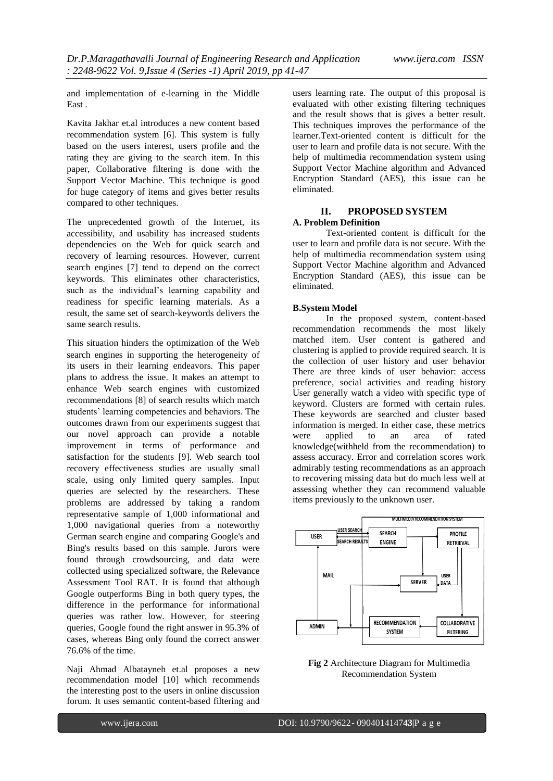and implementation of e-learning in the Middle East .

Kavita Jakhar et.al introduces a new content based recommendation system [6]. This system is fully based on the users interest, users profile and the rating they are giving to the search item. In this paper, Collaborative filtering is done with the Support Vector Machine. This technique is good for huge category of items and gives better results compared to other techniques.

The unprecedented growth of the Internet, its accessibility, and usability has increased students dependencies on the Web for quick search and recovery of learning resources. However, current search engines [7] tend to depend on the correct keywords. This eliminates other characteristics, such as the individual's learning capability and readiness for specific learning materials. As a result, the same set of search-keywords delivers the same search results.

This situation hinders the optimization of the Web search engines in supporting the heterogeneity of its users in their learning endeavors. This paper plans to address the issue. It makes an attempt to enhance Web search engines with customized recommendations [8] of search results which match students' learning competencies and behaviors. The outcomes drawn from our experiments suggest that our novel approach can provide a notable improvement in terms of performance and satisfaction for the students [9]. Web search tool recovery effectiveness studies are usually small scale, using only limited query samples. Input queries are selected by the researchers. These problems are addressed by taking a random representative sample of 1,000 informational and 1,000 navigational queries from a noteworthy German search engine and comparing Google's and Bing's results based on this sample. Jurors were found through crowdsourcing, and data were collected using specialized software, the Relevance Assessment Tool RAT. It is found that although Google outperforms Bing in both query types, the difference in the performance for informational queries was rather low. However, for steering queries, Google found the right answer in 95.3% of cases, whereas Bing only found the correct answer 76.6% of the time.

Naji Ahmad Albatayneh et.al proposes a new recommendation model [10] which recommends the interesting post to the users in online discussion forum. It uses semantic content-based filtering and

users learning rate. The output of this proposal is evaluated with other existing filtering techniques and the result shows that is gives a better result. This techniques improves the performance of the learner.Text-oriented content is difficult for the user to learn and profile data is not secure. With the help of multimedia recommendation system using Support Vector Machine algorithm and Advanced Encryption Standard (AES), this issue can be eliminated.

# **II. PROPOSED SYSTEM**

## **A. Problem Definition**

Text-oriented content is difficult for the user to learn and profile data is not secure. With the help of multimedia recommendation system using Support Vector Machine algorithm and Advanced Encryption Standard (AES), this issue can be eliminated.

### **B.System Model**

In the proposed system, content-based recommendation recommends the most likely matched item. User content is gathered and clustering is applied to provide required search. It is the collection of user history and user behavior There are three kinds of user behavior: access preference, social activities and reading history User generally watch a video with specific type of keyword. Clusters are formed with certain rules. These keywords are searched and cluster based information is merged. In either case, these metrics were applied to an area of rated knowledge(withheld from the recommendation) to assess accuracy. Error and correlation scores work admirably testing recommendations as an approach to recovering missing data but do much less well at assessing whether they can recommend valuable items previously to the unknown user.



**Fig 2** Architecture Diagram for Multimedia Recommendation System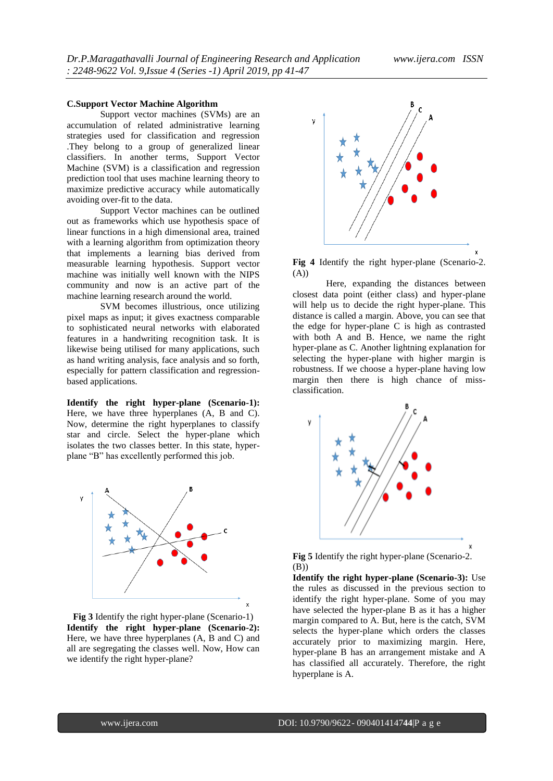#### **C.Support Vector Machine Algorithm**

Support vector machines (SVMs) are an accumulation of related administrative learning strategies used for classification and regression .They belong to a group of generalized linear classifiers. In another terms, Support Vector Machine (SVM) is a classification and regression prediction tool that uses machine learning theory to maximize predictive accuracy while automatically avoiding over-fit to the data.

Support Vector machines can be outlined out as frameworks which use hypothesis space of linear functions in a high dimensional area, trained with a learning algorithm from optimization theory that implements a learning bias derived from measurable learning hypothesis. Support vector machine was initially well known with the NIPS community and now is an active part of the machine learning research around the world.

SVM becomes illustrious, once utilizing pixel maps as input; it gives exactness comparable to sophisticated neural networks with elaborated features in a handwriting recognition task. It is likewise being utilised for many applications, such as hand writing analysis, face analysis and so forth, especially for pattern classification and regressionbased applications.

**Identify the right hyper-plane (Scenario-1):** Here, we have three hyperplanes (A, B and C). Now, determine the right hyperplanes to classify star and circle. Select the hyper-plane which isolates the two classes better. In this state, hyperplane "B" has excellently performed this job.



**Fig 3** Identify the right hyper-plane (Scenario-1) **Identify the right hyper-plane (Scenario-2):** Here, we have three hyperplanes (A, B and C) and all are segregating the classes well. Now, How can we identify the right hyper-plane?



**Fig 4** Identify the right hyper-plane (Scenario-2. (A))

Here, expanding the distances between closest data point (either class) and hyper-plane will help us to decide the right hyper-plane. This distance is called a margin. Above, you can see that the edge for hyper-plane C is high as contrasted with both A and B. Hence, we name the right hyper-plane as C. Another lightning explanation for selecting the hyper-plane with higher margin is robustness. If we choose a hyper-plane having low margin then there is high chance of missclassification.



**Fig 5** Identify the right hyper-plane (Scenario-2. (B))

**Identify the right hyper-plane (Scenario-3):** Use the rules as discussed in the previous section to identify the right hyper-plane. Some of you may have selected the hyper-plane B as it has a higher margin compared to A. But, here is the catch, SVM selects the hyper-plane which orders the classes accurately prior to maximizing margin. Here, hyper-plane B has an arrangement mistake and A has classified all accurately. Therefore, the right hyperplane is A.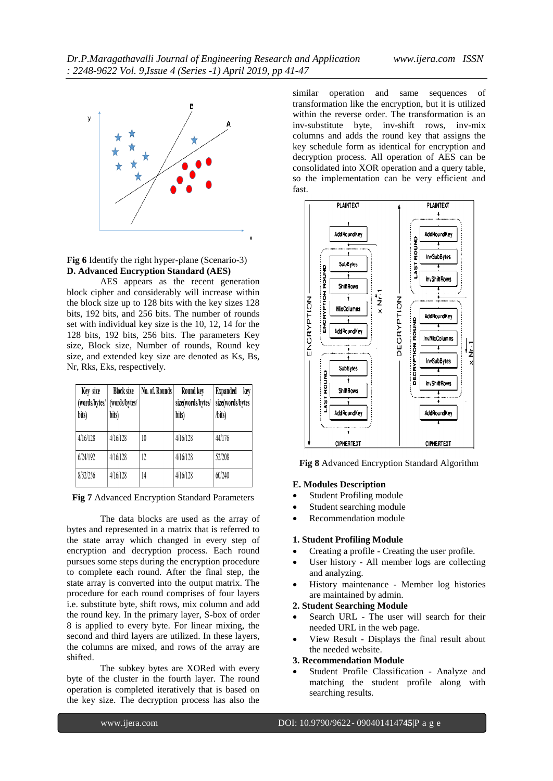

**Fig 6** Identify the right hyper-plane (Scenario-3) **D. Advanced Encryption Standard (AES)**

AES appears as the recent generation block cipher and considerably will increase within the block size up to 128 bits with the key sizes 128 bits, 192 bits, and 256 bits. The number of rounds set with individual key size is the 10, 12, 14 for the 128 bits, 192 bits, 256 bits. The parameters Key size, Block size, Number of rounds, Round key size, and extended key size are denoted as Ks, Bs, Nr, Rks, Eks, respectively.

| Key size<br>(words/bytes/<br>bits) | <b>Block size</b><br>(words/bytes/<br>bits) | No. of. Rounds | Round key<br>size(words/bytes/<br>bits) | Expanded<br>key<br>size(words/bytes<br>/bits) |
|------------------------------------|---------------------------------------------|----------------|-----------------------------------------|-----------------------------------------------|
| 4/16/128                           | 4/16/128                                    | 10             | 4/16/128                                | 44/176                                        |
| 6/24/192                           | 4/16/128                                    | 12             | 4/16/128                                | 52/208                                        |
| 8/32/256                           | 4/16/128                                    | 14             | 4/16/128                                | 60/240                                        |

**Fig 7** Advanced Encryption Standard Parameters

The data blocks are used as the array of bytes and represented in a matrix that is referred to the state array which changed in every step of encryption and decryption process. Each round pursues some steps during the encryption procedure to complete each round. After the final step, the state array is converted into the output matrix. The procedure for each round comprises of four layers i.e. substitute byte, shift rows, mix column and add the round key. In the primary layer, S-box of order 8 is applied to every byte. For linear mixing, the second and third layers are utilized. In these layers, the columns are mixed, and rows of the array are shifted.

The subkey bytes are XORed with every byte of the cluster in the fourth layer. The round operation is completed iteratively that is based on the key size. The decryption process has also the

similar operation and same sequences of transformation like the encryption, but it is utilized within the reverse order. The transformation is an inv-substitute byte, inv-shift rows, inv-mix columns and adds the round key that assigns the key schedule form as identical for encryption and decryption process. All operation of AES can be consolidated into XOR operation and a query table, so the implementation can be very efficient and fast.



**Fig 8** Advanced Encryption Standard Algorithm

#### **E. Modules Description**

- Student Profiling module
- Student searching module
- Recommendation module

#### **1. Student Profiling Module**

- Creating a profile Creating the user profile.
- User history All member logs are collecting and analyzing.
- History maintenance Member log histories are maintained by admin.

### **2. Student Searching Module**

- Search URL The user will search for their needed URL in the web page.
- View Result Displays the final result about the needed website.

#### **3. Recommendation Module**

 Student Profile Classification - Analyze and matching the student profile along with searching results.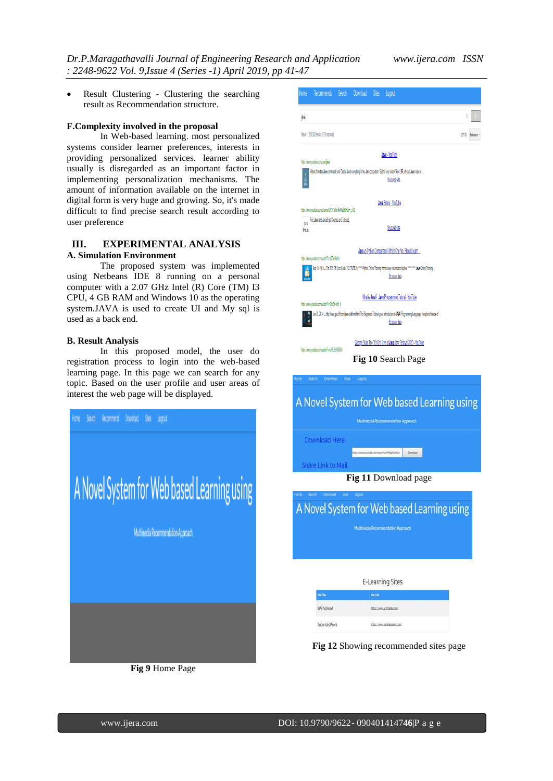Result Clustering - Clustering the searching result as Recommendation structure.

#### **F.Complexity involved in the proposal**

In Web-based learning. most personalized systems consider learner preferences, interests in providing personalized services. learner ability usually is disregarded as an important factor in implementing personalization mechanisms. The amount of information available on the internet in digital form is very huge and growing. So, it's made difficult to find precise search result according to user preference

### **III. EXPERIMENTAL ANALYSIS A. Simulation Environment**

The proposed system was implemented using Netbeans IDE 8 running on a personal computer with a 2.07 GHz Intel (R) Core (TM) I3 CPU, 4 GB RAM and Windows 10 as the operating system.JAVA is used to create UI and My sql is used as a back end.

#### **B. Result Analysis**

In this proposed model, the user do registration process to login into the web-based learning page. In this page we can search for any topic. Based on the user profile and user areas of interest the web page will be displayed.







# A Novel System for Web based Learning using Multimedia Recommendation Approach Download Here. AcconventitiveMagSyMSc Directed Share Link to Mail

### **Fig 11** Download page

# A Novel System for Web based Learning using

|            | E-Learning Sites           |  |  |  |
|------------|----------------------------|--|--|--|
| Site Title | <b>Sta Link</b>            |  |  |  |
| W3 School  | https://www.vibchools.com/ |  |  |  |
|            |                            |  |  |  |

**Fig 12** Showing recommended sites page